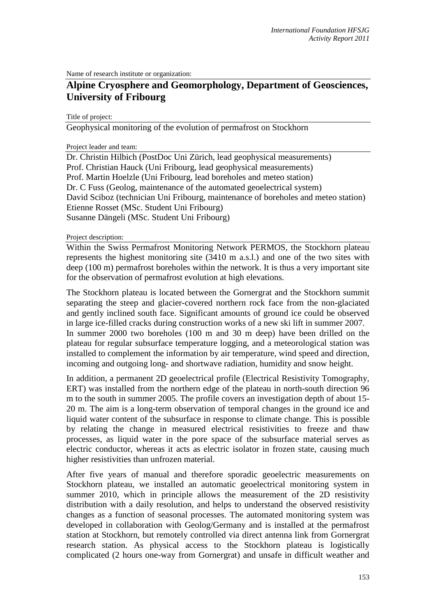Name of research institute or organization:

# **Alpine Cryosphere and Geomorphology, Department of Geosciences, University of Fribourg**

Title of project:

Geophysical monitoring of the evolution of permafrost on Stockhorn

Project leader and team:

Dr. Christin Hilbich (PostDoc Uni Zürich, lead geophysical measurements) Prof. Christian Hauck (Uni Fribourg, lead geophysical measurements) Prof. Martin Hoelzle (Uni Fribourg, lead boreholes and meteo station) Dr. C Fuss (Geolog, maintenance of the automated geoelectrical system) David Sciboz (technician Uni Fribourg, maintenance of boreholes and meteo station) Etienne Rosset (MSc. Student Uni Fribourg) Susanne Dängeli (MSc. Student Uni Fribourg)

Project description:

Within the Swiss Permafrost Monitoring Network PERMOS, the Stockhorn plateau represents the highest monitoring site (3410 m a.s.l.) and one of the two sites with deep (100 m) permafrost boreholes within the network. It is thus a very important site for the observation of permafrost evolution at high elevations.

The Stockhorn plateau is located between the Gornergrat and the Stockhorn summit separating the steep and glacier-covered northern rock face from the non-glaciated and gently inclined south face. Significant amounts of ground ice could be observed in large ice-filled cracks during construction works of a new ski lift in summer 2007. In summer 2000 two boreholes (100 m and 30 m deep) have been drilled on the plateau for regular subsurface temperature logging, and a meteorological station was installed to complement the information by air temperature, wind speed and direction, incoming and outgoing long- and shortwave radiation, humidity and snow height.

In addition, a permanent 2D geoelectrical profile (Electrical Resistivity Tomography, ERT) was installed from the northern edge of the plateau in north-south direction 96 m to the south in summer 2005. The profile covers an investigation depth of about 15- 20 m. The aim is a long-term observation of temporal changes in the ground ice and liquid water content of the subsurface in response to climate change. This is possible by relating the change in measured electrical resistivities to freeze and thaw processes, as liquid water in the pore space of the subsurface material serves as electric conductor, whereas it acts as electric isolator in frozen state, causing much higher resistivities than unfrozen material.

After five years of manual and therefore sporadic geoelectric measurements on Stockhorn plateau, we installed an automatic geoelectrical monitoring system in summer 2010, which in principle allows the measurement of the 2D resistivity distribution with a daily resolution, and helps to understand the observed resistivity changes as a function of seasonal processes. The automated monitoring system was developed in collaboration with Geolog/Germany and is installed at the permafrost station at Stockhorn, but remotely controlled via direct antenna link from Gornergrat research station. As physical access to the Stockhorn plateau is logistically complicated (2 hours one-way from Gornergrat) and unsafe in difficult weather and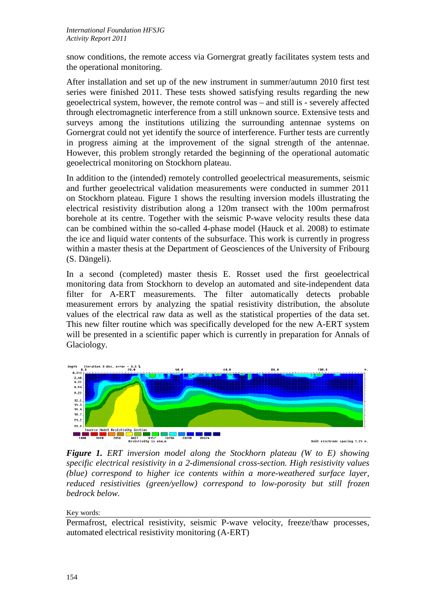snow conditions, the remote access via Gornergrat greatly facilitates system tests and the operational monitoring.

After installation and set up of the new instrument in summer/autumn 2010 first test series were finished 2011. These tests showed satisfying results regarding the new geoelectrical system, however, the remote control was – and still is - severely affected through electromagnetic interference from a still unknown source. Extensive tests and surveys among the institutions utilizing the surrounding antennae systems on Gornergrat could not yet identify the source of interference. Further tests are currently in progress aiming at the improvement of the signal strength of the antennae. However, this problem strongly retarded the beginning of the operational automatic geoelectrical monitoring on Stockhorn plateau.

In addition to the (intended) remotely controlled geoelectrical measurements, seismic and further geoelectrical validation measurements were conducted in summer 2011 on Stockhorn plateau. Figure 1 shows the resulting inversion models illustrating the electrical resistivity distribution along a 120m transect with the 100m permafrost borehole at its centre. Together with the seismic P-wave velocity results these data can be combined within the so-called 4-phase model (Hauck et al. 2008) to estimate the ice and liquid water contents of the subsurface. This work is currently in progress within a master thesis at the Department of Geosciences of the University of Fribourg (S. Dängeli).

In a second (completed) master thesis E. Rosset used the first geoelectrical monitoring data from Stockhorn to develop an automated and site-independent data filter for A-ERT measurements. The filter automatically detects probable measurement errors by analyzing the spatial resistivity distribution, the absolute values of the electrical raw data as well as the statistical properties of the data set. This new filter routine which was specifically developed for the new A-ERT system will be presented in a scientific paper which is currently in preparation for Annals of Glaciology.



*Figure 1. ERT inversion model along the Stockhorn plateau (W to E) showing specific electrical resistivity in a 2-dimensional cross-section. High resistivity values (blue) correspond to higher ice contents within a more-weathered surface layer, reduced resistivities (green/yellow) correspond to low-porosity but still frozen bedrock below.*

## Key words:

Permafrost, electrical resistivity, seismic P-wave velocity, freeze/thaw processes, automated electrical resistivity monitoring (A-ERT)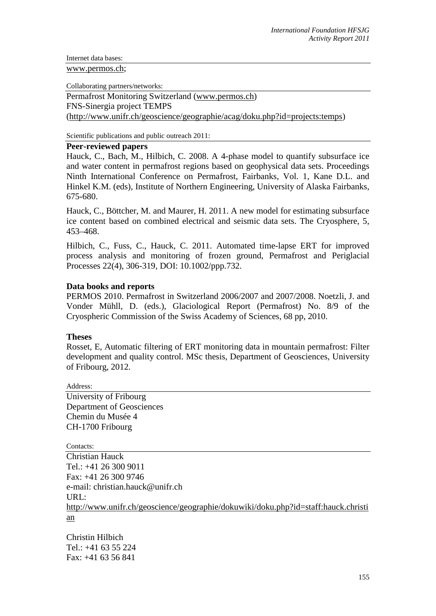Internet data bases:

#### [www.permos.ch;](http://www.permos.ch/)

Collaborating partners/networks:

Permafrost Monitoring Switzerland [\(www.permos.ch\)](http://www.permos.ch/) FNS-Sinergia project TEMPS [\(http://www.unifr.ch/geoscience/geographie/acag/doku.php?id=projects:temps\)](http://www.unifr.ch/geoscience/geographie/acag/doku.php?id=projects:temps)

Scientific publications and public outreach 2011:

#### **Peer-reviewed papers**

Hauck, C., Bach, M., Hilbich, C. 2008. A 4-phase model to quantify subsurface ice and water content in permafrost regions based on geophysical data sets. Proceedings Ninth International Conference on Permafrost, Fairbanks, Vol. 1, Kane D.L. and Hinkel K.M. (eds), Institute of Northern Engineering, University of Alaska Fairbanks, 675-680.

Hauck, C., Böttcher, M. and Maurer, H. 2011. A new model for estimating subsurface ice content based on combined electrical and seismic data sets. The Cryosphere, 5, 453–468.

Hilbich, C., Fuss, C., Hauck, C. 2011. Automated time-lapse ERT for improved process analysis and monitoring of frozen ground, Permafrost and Periglacial Processes 22(4), 306-319, DOI: 10.1002/ppp.732.

# **Data books and reports**

PERMOS 2010. Permafrost in Switzerland 2006/2007 and 2007/2008. Noetzli, J. and Vonder Mühll, D. (eds.), Glaciological Report (Permafrost) No. 8/9 of the Cryospheric Commission of the Swiss Academy of Sciences, 68 pp, 2010.

## **Theses**

Rosset, E, Automatic filtering of ERT monitoring data in mountain permafrost: Filter development and quality control. MSc thesis, Department of Geosciences, University of Fribourg, 2012.

Address: University of Fribourg Department of Geosciences Chemin du Musée 4 CH-1700 Fribourg

Contacts:

Christian Hauck Tel.: +41 26 300 9011 Fax: +41 26 300 9746 e-mail: christian.hauck@unifr.ch URL: [http://www.unifr.ch/geoscience/geographie/dokuwiki/doku.php?id=staff:hauck.christi](http://www.unifr.ch/geoscience/geographie/dokuwiki/doku.php?id=staff:hauck.christian) [an](http://www.unifr.ch/geoscience/geographie/dokuwiki/doku.php?id=staff:hauck.christian)

Christin Hilbich Tel.: +41 63 55 224 Fax: +41 63 56 841